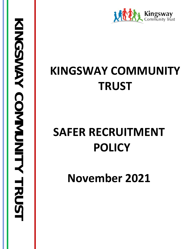

## **KINGSWAY COMMUNITY TRUST**

# **SAFER RECRUITMENT POLICY**

**November 2021**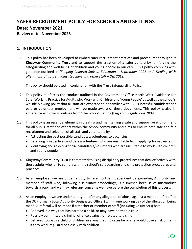### **SAFER RECRUITMENT POLICY FOR SCHOOLS AND SETTINGS Date: November 2021 Review date: November 2023**

#### **1. INTRODUCTION**

1.1 This policy has been developed to embed safer recruitment practices and procedures throughout **Kingsway Community Trust** and to support the creation of a safer culture by reinforcing the safeguarding and well-being of children and young people in our care. This policy complies with guidance outlined in *'Keeping Children Safe in Education – September 2021 and 'Dealing with allegations of abuse against teachers and other staff – DfE 2012.*

This policy should be used in conjunction with the Trust Safeguarding Policy.

- 1.2 This policy reinforces the conduct outlined in the Government Office North West 'Guidance for Safer Working Practice for Adults who Work with Children and Young People' as well as the school's whistle blowing policy that all staff are expected to be familiar with. All successful candidates for paid or volunteer employment will be made aware of these documents. This policy is also in adherence with the guidelines from 'The School Staffing (England) Regulations 2009'.
- 1.3 This policy is an essential element in creating and maintaining a safe and supportive environment for all pupils, staff and others within the school community and aims to ensure both safe and fair recruitment and selection of all staff and volunteers by:
	- Attracting the best possible candidates/volunteers to vacancies,
	- Deterring prospective candidates/volunteers who are unsuitable from applying for vacancies
	- Identifying and rejecting those candidates/volunteers who are unsuitable to work with children and young people.
- 1.4 **Kingsway Community Trust** is committed to using disciplinary procedures that deal effectively with those adults who fail to comply with the school's safeguarding and child protection procedures and practices.
- 1.5 As an employer we are under a duty to refer to the Independent Safeguarding Authority any member of staff who, following disciplinary proceedings, is dismissed because of misconduct towards a pupil and we may refer any concerns we have before the completion of this process.
- 1.6 As an employer, we are under a duty to refer any allegation of abuse against a member of staff to the DO (formally Local Authority Designated Officer) within one working day of the allegation being made. A referral will be made if a teacher or member of staff (including volunteers) has:-
	- Behaved in a way that has harmed a child, or may have harmed a child
	- Possibly committed a criminal offence against, or related to a child
	- Behaved towards a child or children in a way that indicates he or she would pose a risk of harm if they work regularly or closely with children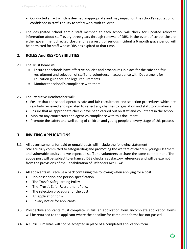- Conducted an act which is deemed inappropriate and may impact on the school's reputation or confidence in staff's ability to safely work with children
- 1.7 The designated school admin staff member at each school will check for updated relevant information about staff every three years through renewal of DBS. In the event of school closure either government directed closure or as a result of serious incident a 6 month grace period will be permitted for staff whose DBS has expired at that time.

#### **2. ROLES And RESPONSIBILITIES**

- 2.1 The Trust Board will:
	- Ensure the schools have effective policies and procedures in place for the safe and fair recruitment and selection of staff and volunteers in accordance with Department for Education guidance and legal requirements
	- Monitor the school's compliance with them
- 2.2 The Executive Headteacher will:
	- Ensure that the school operates safe and fair recruitment and selection procedures which are regularly reviewed and up-dated to reflect any changes to legislation and statutory guidance
	- Ensure that all appropriate checks have been carried out on staff and volunteers in the school
	- Monitor any contractors and agencies compliance with this document
	- Promote the safety and well being of children and young people at every stage of this process

#### **3. INVITING APPLICATIONS**

- 3.1 All advertisements for paid or unpaid posts will include the following statement: 'We are fully committed to safeguarding and promoting the welfare of children, younger learners and vulnerable adults and we expect all staff and volunteers to share the same commitment. The above post will be subject to enhanced DBS checks, satisfactory references and will be exempt from the provisions of the Rehabilitation of Offenders Act 1974'
- 3.2. All applicants will receive a pack containing the following when applying for a post:
	- Job description and person specification
	- The Trust's Safeguarding Policy
	- The Trust's Safer Recruitment Policy
	- The selection procedure for the post
	- An application form
	- Privacy notice for applicants
- 3.3 Prospective applicants must complete, in full, an application form. Incomplete application forms will be returned to the applicant where the deadline for completed forms has not passed.
- 3.4 A curriculum vitae will not be accepted in place of a completed application form.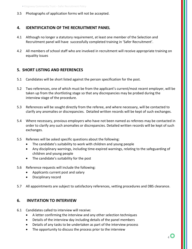#### 3.5 Photographs of application forms will not be accepted.

#### **4. IDENTIFICATION OF THE RECRUITMENT PANEL**

- 4.1 Although no longer a statutory requirement, at least one member of the Selection and Recruitment panel will have successfully completed training in 'Safer Recruitment'.
- 4.2 All members of school staff who are involved in recruitment will receive appropriate training on equality issues

#### **5. SHORT LISTING AND REFERENCES**

- 5.1 Candidates will be short listed against the person specification for the post.
- 5.2 Two references, one of which must be from the applicant's current/most recent employer, will be taken up from the shortlisting stage so that any discrepancies may be probed during the interview stage of the procedure.
- 5.3 References will be sought directly from the referee, and where necessary, will be contacted to clarify any anomalies or discrepancies. Detailed written records will be kept of such exchanges.
- 5.4 Where necessary, previous employers who have not been named as referees may be contacted in order to clarify any such anomalies or discrepancies. Detailed written records will be kept of such exchanges.
- 5.5 Referees will be asked specific questions about the following:
	- The candidate's suitability to work with children and young people
	- Any disciplinary warnings, including time-expired warnings, relating to the safeguarding of children and young people
	- The candidate's suitability for the post
- 5.6 Reference requests will include the following:
	- Applicants current post and salary
	- Disciplinary record
- 5.7 All appointments are subject to satisfactory references, vetting procedures and DBS clearance.

#### **6. INVITATION TO INTERVIEW**

- 6.1 Candidates called to interview will receive:
	- A letter confirming the interview and any other selection techniques
	- Details of the interview day including details of the panel members
	- Details of any tasks to be undertaken as part of the interview process
	- The opportunity to discuss the process prior to the interview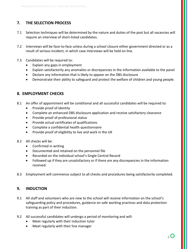### **7. THE SELECTION PROCESS**

- 7.1 Selection techniques will be determined by the nature and duties of the post but all vacancies will require an interview of short-listed candidates.
- 7.2 Interviews will be face-to-face unless during a school closure either government directed or as a result of serious incident, in which case interviews will be held on line.
- 7.3 Candidates will be required to:
	- Explain any gaps in employment
	- Explain satisfactorily any anomalies or discrepancies in the information available to the panel
	- Declare any information that is likely to appear on the DBS disclosure
	- Demonstrate their ability to safeguard and protect the welfare of children and young people.

#### **8. EMPLOYMENT CHECKS**

- 8.1 An offer of appointment will be conditional and all successful candidates will be required to:
	- Provide proof of identity
	- Complete an enhanced DBS disclosure application and receive satisfactory clearance
	- Provide proof of professional status
	- Provide actual certificates of qualifications
	- Complete a confidential health questionnaire
	- Provide proof of eligibility to live and work in the UK
- 8.2 All checks will be:
	- Confirmed in writing
	- Documented and retained on the personnel file
	- Recorded on the individual school's Single Central Record
	- Followed up if they are unsatisfactory or if there are any discrepancies in the information received.
- 8.3 Employment will commence subject to all checks and procedures being satisfactorily completed.

#### **9. INDUCTION**

- 9.1 All staff and volunteers who are new to the school will receive information on the school's safeguarding policy and procedures, guidance on safe working practices and data protection training as part of their induction.
- 9.2 All successful candidates will undergo a period of monitoring and will:
	- Meet regularly with their induction tutor
	- Meet regularly with their line manager